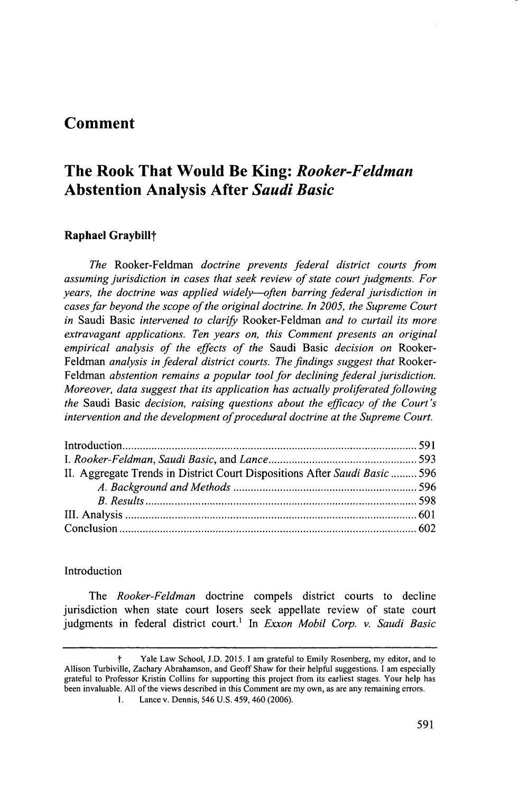## **Comment**

# **The Rook That Would Be King:** *Rooker-Feldman* **Abstention Analysis After** *Saudi Basic*

## **Raphael Graybill<sup>+</sup>**

*The Rooker-Feldman doctrine prevents federal district courts from assuming jurisdiction in cases that seek review of state court judgments. For years, the doctrine was applied widely-often barring federal jurisdiction in cases far beyond the scope of the original doctrine. In 2005, the Supreme Court in* Saudi Basic *intervened to clarify Rooker-Feldman and to curtail its more extravagant applications. Ten years on, this Comment presents an original empirical analysis of the effects of the* Saudi Basic *decision on* Rooker-Feldman *analysis in federal district courts. The findings suggest that* Rooker-*Feldman abstention remains a popular tool for declining federal jurisdiction. Moreover, data suggest that its application has actually prolferated following the* Saudi Basic *decision, raising questions about the efficacy of the Court's* intervention and the development of procedural doctrine at the Supreme Court.

| II. Aggregate Trends in District Court Dispositions After Saudi Basic  596 |  |
|----------------------------------------------------------------------------|--|
|                                                                            |  |
|                                                                            |  |
|                                                                            |  |
|                                                                            |  |
|                                                                            |  |

## Introduction

*The Rooker-Feldman* doctrine compels district courts to decline jurisdiction when state court losers seek appellate review of state court judgments in federal district court.' In *Exxon Mobil Corp. v. Saudi Basic*

t Yale Law School, **J.D. 2015.** I am grateful to Emily Rosenberg, my editor, and to Allison Turbiville, Zachary Abrahamson, and Geoff Shaw for their helpful suggestions. **I** am especially grateful to Professor Kristin Collins for supporting this project from its earliest stages. Your **help** has been invaluable. **All** of the views described in this Comment are my own, as are any remaining errors.

**I.** Lance v. Dennis, 546 **U.S.** 459, 460 **(2006).**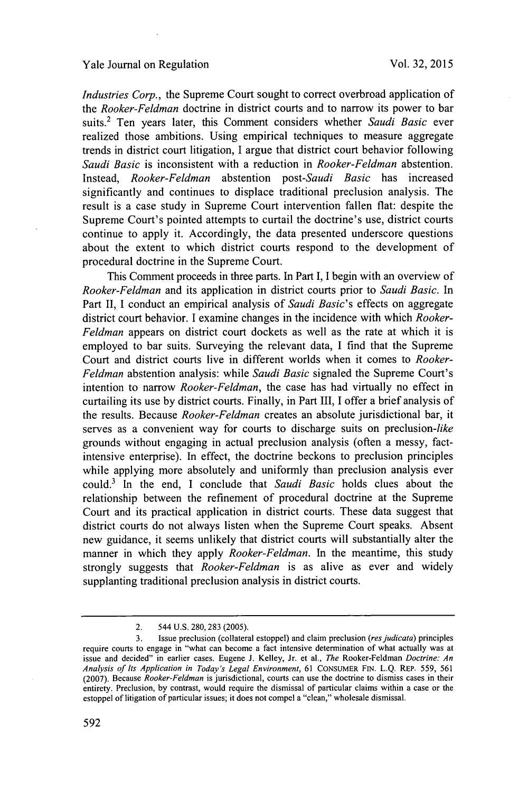#### Yale Journal on Regulation

*Industries Corp.,* the Supreme Court sought to correct overbroad application of *the Rooker-Feldman* doctrine in district courts and to narrow its power to bar suits.2 Ten years later, this Comment considers whether *Saudi Basic ever* realized those ambitions. Using empirical techniques to measure aggregate trends in district court litigation, **I** argue that district court behavior following *Saudi Basic* is inconsistent with a reduction in *Rooker-Feldman* abstention. *Instead, Rooker-Feldman abstention post-Saudi Basic* has increased significantly and continues to displace traditional preclusion analysis. The result is a case study in Supreme Court intervention fallen flat: despite the Supreme Court's pointed attempts to curtail the doctrine's use, district courts continue to apply it. Accordingly, the data presented underscore questions about the extent to which district courts respond to the development of procedural doctrine in the Supreme Court.

This Comment proceeds in three parts. In Part **I,** I begin with an overview of *Rooker-Feldman* and its application in district courts prior to *Saudi Basic. In* Part **II,** I conduct an empirical analysis of *Saudi Basic's* effects on aggregate district court behavior. **I** examine changes in the incidence with which *Rooker-Feldman* appears on district court dockets as well as the rate at which it is employed to bar suits. Surveying the relevant data, **I** find that the Supreme Court and district courts live in different worlds when it comes to *Rooker-Feldman* abstention analysis: while *Saudi Basic* signaled the Supreme Court's intention to narrow *Rooker-Feldman,* the case has had virtually no effect in curtailing its use **by** district courts. Finally, in Part III, **I** offer a brief analysis of the results. Because *Rooker-Feldman* creates an absolute jurisdictional bar, it serves as a convenient way for courts to discharge suits on preclusion-like grounds without engaging in actual preclusion analysis (often a messy, factintensive enterprise). In effect, the doctrine beckons to preclusion principles while applying more absolutely and uniformly than preclusion analysis ever could. In the end, **I** conclude that *Saudi Basic* holds clues about the relationship between the refinement of procedural doctrine at the Supreme Court and its practical application in district courts. These data suggest that district courts do not always listen when the Supreme Court speaks. Absent new guidance, it seems unlikely that district courts will substantially alter the manner in which they apply *Rooker-Feldman.* In the meantime, this study strongly suggests that *Rooker-Feldman* is as alive as ever and widely supplanting traditional preclusion analysis in district courts.

<sup>2. 544</sup> **U.S. 280,283 (2005).**

**<sup>3.</sup>** Issue preclusion (collateral estoppel) and claim preclusion *(resjudicata)* principles require courts to engage in "what can become a fact intensive determination of what actually was at issue and decided" in earlier cases. Eugene **J.** Kelley, Jr. et al., *The* Rooker-Feldman *Doctrine: An Analysis of Its Application in Today's Legal Environment,* **61 CONSUMER FIN. L.Q.** REP. **559, 561 (2007).** Because *Rooker-Feldman* is jurisdictional, courts can use the doctrine to dismiss cases in their entirety. Preclusion, **by** contrast, would require the dismissal of particular claims within a case or the estoppel of litigation of particular issues; it does not compel a "clean," wholesale dismissal.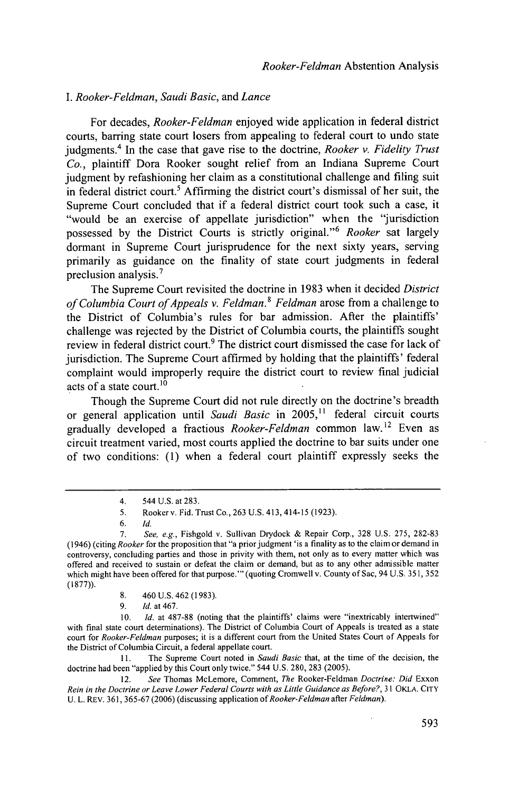## *I. Rooker-Feldman, Saudi Basic, and Lance*

For decades, *Rooker-Feldman* enjoyed wide application in federal district courts, barring state court losers from appealing to federal court to undo state judgments.4 In the case that gave rise to the doctrine, *Rooker v. Fidelity Trust Co.,* plaintiff Dora Rooker sought relief from an Indiana Supreme Court judgment **by** refashioning her claim as a constitutional challenge and filing suit in federal district court.<sup>5</sup> Affirming the district court's dismissal of her suit, the Supreme Court concluded that if a federal district court took such a case, it "would be an exercise of appellate jurisdiction" when the "jurisdiction possessed by the District Courts is strictly original."<sup>6</sup> Rooker sat largely dormant in Supreme Court jurisprudence for the next sixty years, serving primarily as guidance on the finality of state court judgments in federal preclusion analysis.'

The Supreme Court revisited the doctrine in **1983** when it decided *District of Columbia Court of Appeals v. Feldman.<sup>t</sup>Feldman* arose from a challenge to the District of Columbia's rules for bar admission. After the plaintiffs' challenge was rejected **by** the District of Columbia courts, the plaintiffs sought review in federal district court.<sup>9</sup> The district court dismissed the case for lack of jurisdiction. The Supreme Court affirmed **by** holding that the plaintiffs' federal complaint would improperly require the district court to review final judicial acts of a state court. **<sup>0</sup>**

Though the Supreme Court did not rule directly on the doctrine's breadth or general application until *Saudi Basic* in **2005,11** federal circuit courts gradually developed a fractious *Rooker-Feldman* common law.<sup>12</sup> Even as circuit treatment varied, most courts applied the doctrine to bar suits under one of two conditions: **(1)** when a federal court plaintiff expressly seeks the

- **8.** 460 **U.S.** 462 **(1983).**
- **9.** *Id.* at 467.

**11.** The Supreme Court noted in *Saudi Basic* that, at the time of the decision, the doctrine had been "applied **by** this Court only twice." 544 **U.S. 280, 283 (2005).**

12. *See* Thomas McLemore, Comment, *The Rooker-Feldman Doctrine: Did* Exxon *Rein in the Doctrine or Leave Lower Federal Courts with as Little Guidance as Before?,* **31** OKLA. **CITY** U. L. REV. 361, 365-67 (2006) (discussing application of Rooker-Feldman after Feldman).

<sup>4. 544</sup> **U.S.** *at* **283.**

**<sup>5.</sup>** Rooker v. Fid. Trust Co., **263 U.S.** 413, 414-15 **(1923).**

**<sup>6.</sup>** *Id.*

*<sup>7.</sup> See, e.g.,* Fishgold v. Sullivan Drydock **&** Repair Corp., **328 U.S. 275, 282-83** (1946) (citing *Rooker* for the proposition that "a prior judgment 'is a finality as to the claim or demand in controversy, concluding parties and those in privity with them, not only as to every matter which was offered and received to sustain or defeat the claim or demand, but as to any other admissible matter which might have been offered for that purpose."' (quoting Cromwell v. County of Sac, 94 **U.S. 351, 352 (1877)).**

**<sup>10.</sup>** *Id.* at **487-88** (noting that the plaintiffs' claims were "inextricably intertwined" with final state court determinations). The District of Columbia Court of Appeals is treated as a state court for *Rooker-Feldman* purposes; it is a different court from the United States Court of Appeals for the District of Columbia Circuit, a federal appellate court.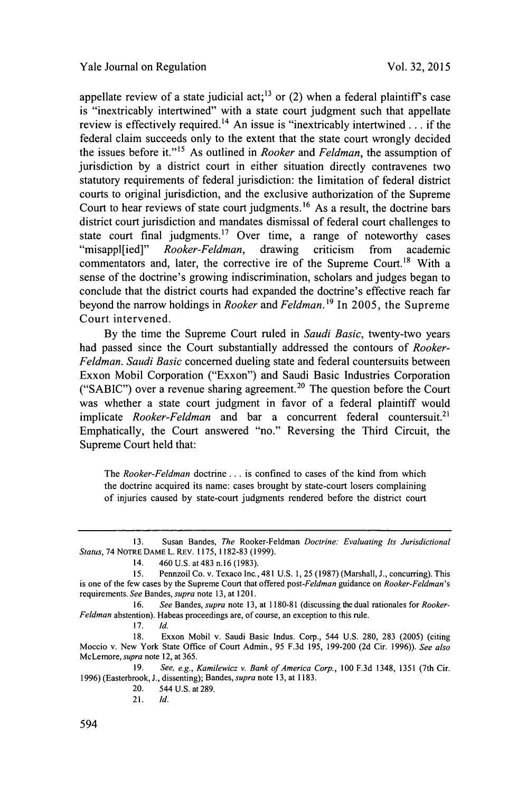appellate review of a state judicial act;<sup>13</sup> or (2) when a federal plaintiff's case is "inextricably intertwined" with a state court judgment such that appellate review is effectively required.<sup>14</sup> An issue is "inextricably intertwined  $\ldots$  if the federal claim succeeds only to the extent that the state court wrongly decided the issues before it."" As outlined in *Rooker and Feldman,* the assumption of jurisdiction **by** a district court in either situation directly contravenes two statutory requirements of federal jurisdiction: the limitation of federal district courts to original jurisdiction, and the exclusive authorization of the Supreme Court to hear reviews of state court judgments.<sup>16</sup> As a result, the doctrine bars district court jurisdiction and mandates dismissal of federal court challenges to state court final judgments.<sup>17</sup> Over time, a range of noteworthy cases "misappl[ied]" *Rooker-Feldman,* drawing criticism from academic commentators and, later, the corrective ire of the Supreme Court.<sup>18</sup> With a sense of the doctrine's growing indiscrimination, scholars and judges began to conclude that the district courts had expanded the doctrine's effective reach far beyond the narrow holdings in *Rooker and Feldman.1<sup>9</sup>*In **2005,** the Supreme Court intervened.

**By** the time the Supreme Court ruled in *Saudi Basic,* twenty-two years had passed since the Court substantially addressed the contours of *Rooker-Feldman. Saudi Basic* concerned dueling state and federal countersuits between Exxon Mobil Corporation ("Exxon") and Saudi Basic Industries Corporation ("SABIC") over a revenue sharing agreement.<sup>20</sup> The question before the Court was whether a state court judgment in favor of a federal plaintiff would implicate *Rooker-Feldman* and bar a concurrent federal countersuit.<sup>21</sup> Emphatically, the Court answered "no." Reversing the Third Circuit, the Supreme Court held that:

*The Rooker-Feldman doctrine.* **. .** is confined to cases of the kind from which the doctrine acquired its name: cases brought **by** state-court losers complaining of injuries caused **by** state-court judgments rendered before the district court

**16.** *See Bandes, supra* note **13,** at **1180-81** (discussing the dual rationales for *Rooker-Feldman* abstention). Habeas proceedings are, of course, an exception to this rule.

**17.** *Id.*

21. *Id.*

**<sup>13.</sup>** Susan Bandes, *The* Rooker-Feldman *Doctrine: Evaluating Its Jurisdictional Status,* 74 **NOTRE DAME L. REV. 1175, 1182-83 (1999).**

<sup>14. 460</sup> **U.S.** at 483 n.16 **(1983).**

*<sup>15.</sup>* Pennzoil Co. v. Texaco Inc., 481 **U.S. 1, 25 (1987)** (Marshall, **J.,** concurring). This is one of the few cases **by** the Supreme Court that offered *post-Feldman* guidance on *Rooker-Feldman's* requirements. *See Bandes, supra* note **13,** at **1201.**

**<sup>18.</sup>** Exxon Mobil v. Saudi Basic Indus. Corp., 544 **U.S. 280, 283 (2005)** (citing Moccio v. New York State Office of Court Admin., **95 F.3d 195, 199-200 (2d** Cir. **1996)).** *See also* McLemore, *supra* note 12, at **365.**

**<sup>19.</sup>** *See, e.g., Kamilewicz v. Bank of America Corp., 100* **F.3d** 1348, **1351** (7th Cir. **1996)** (Easterbrook, **J.,** dissenting); Bandes, *supra* note **13,** at **1183.**

<sup>20. 544</sup> **U.S.** at **289.**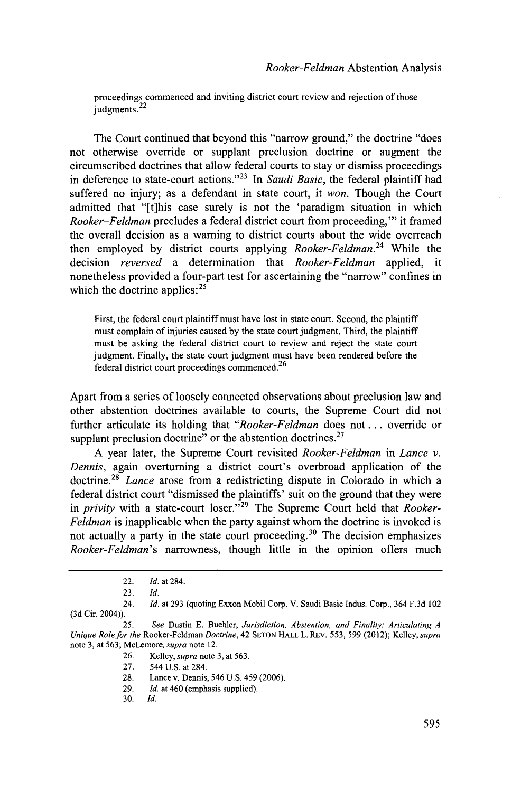proceedings commenced and inviting district court review and rejection of those judgments.<sup>22</sup>

The Court continued that beyond this "narrow ground," the doctrine "does not otherwise override or supplant preclusion doctrine or augment the circumscribed doctrines that allow federal courts to stay or dismiss proceedings in deference to state-court actions."<sup>23</sup> In Saudi Basic, the federal plaintiff had suffered no injury; as a defendant in state court, it *won.* Though the Court admitted that "[t]his case surely is not the 'paradigm situation in which *Rooker-Feldman* precludes a federal district court from proceeding,"' it framed the overall decision as a warning to district courts about the wide overreach then employed **by** district courts applying *Rooker-Feldman.<sup>24</sup>*While the decision *reversed* a determination that *Rooker-Feldman* applied, it nonetheless provided a four-part test for ascertaining the "narrow" confines in which the doctrine applies: $2<sup>5</sup>$ 

First, the federal court plaintiff must have lost in state court. Second, the plaintiff must complain of injuries caused **by** the state court judgment. Third, the plaintiff must be asking the federal district court to review and reject the state court judgment. Finally, the state court judgment must have been rendered before the federal district court proceedings commenced. <sup>26</sup>

Apart from a series of loosely connected observations about preclusion law and other abstention doctrines available to courts, the Supreme Court did not further articulate its holding that *"Rooker-Feldman* does not **...** override or supplant preclusion doctrine" or the abstention doctrines. $27$ 

**A** year later, the Supreme Court revisited *Rooker-Feldman in Lance v. Dennis,* again overturning a district court's overbroad application of the doctrine.<sup>2</sup> ' *Lance* arose from a redistricting dispute in Colorado in which a federal district court "dismissed the plaintiffs' suit on the ground that they were in *privity* with a state-court loser."<sup>29</sup> The Supreme Court held that *Rooker-Feldman* is inapplicable when the party against whom the doctrine is invoked is not actually a party in the state court proceeding.<sup>30</sup> The decision emphasizes *Rooker-Feldman's* narrowness, though little in the opinion offers much

<sup>22.</sup> *Id. at 284.*

**<sup>23.</sup>** *Id.*

<sup>24.</sup> *Id.* at **293** (quoting Exxon Mobil Corp. V. Saudi Basic Indus. Corp., 364 **F.3d** 102 **(3d** Cir. 2004)).

**<sup>25.</sup>** *See* Dustin **E.** Buehler, *Jurisdiction, Abstention, and Finality: Articulating <sup>A</sup> Unique Role for the* Rooker-Feldman *Doctrine,* 42 **SETON** HALL L. REv. **553, 599** (2012); Kelley, *supra* note **3,** at **563;** McLemore, *supra* note 12.

**<sup>26.</sup>** Kelley, *supra* note **3,** at **563.**

**<sup>27.</sup>** 544 **U.S.** at 284.

**<sup>28.</sup>** Lance v. Dennis, 546 **U.S.** 459 **(2006).**

**<sup>29.</sup>** *Id.* at 460 (emphasis supplied).

**<sup>30.</sup>** *Id.*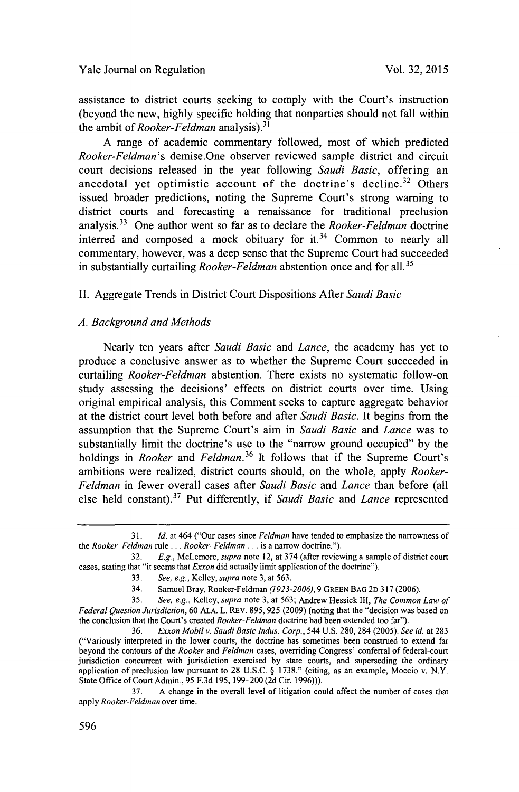Yale Journal on Regulation

assistance to district courts seeking to comply with the Court's instruction (beyond the new, **highly** specific holding that nonparties should not fall within the ambit of *Rooker-Feldman* analysis).<sup>31</sup>

**A** range of academic commentary followed, most of which predicted *Rooker-Feldman's* demise.One observer reviewed sample district and circuit court decisions released in the year following *Saudi Basic,* offering an anecdotal yet optimistic account of the doctrine's decline.<sup>32</sup> Others issued broader predictions, noting the Supreme Court's strong warning to district courts and forecasting a renaissance for traditional preclusion **analysis. <sup>33</sup>**One author went so far as to declare the *Rooker-Feldman doctrine* interred and composed a mock obituary for it.<sup>34</sup> Common to nearly all commentary, however, was a deep sense that the Supreme Court had succeeded in substantially curtailing *Rooker-Feldman* abstention once and for all.<sup>35</sup>

**II.** Aggregate Trends in District Court Dispositions After *Saudi Basic*

#### *A. Background and Methods*

Nearly ten years after *Saudi Basic and Lance,* the academy has yet to produce a conclusive answer as to whether the Supreme Court succeeded in curtailing *Rooker-Feldman* abstention. There exists no systematic follow-on study assessing the decisions' effects on district courts over time. Using original empirical analysis, this Comment seeks to capture aggregate behavior at the district court level both before and after *Saudi Basic.* It begins from the assumption that the Supreme Court's aim in *Saudi Basic and Lance* was to substantially limit the doctrine's use to the "narrow ground occupied" **by** the holdings in *Rooker and Feldman.<sup>36</sup>*It **follows** that if the Supreme Court's ambitions were realized, district courts should, on the whole, apply *Rooker-Feldman* in fewer overall cases after *Saudi Basic and Lance* than before (all else held constant).<sup>37</sup> Put differently, if *Saudi Basic* and *Lance* represented

**<sup>31.</sup>** *Id.* at 464 ("Our cases since *Feldman* have tended to emphasize the narrowness of *the Rooker-Feldman rule* .. **.** *Rooker-Feldman* **...** is a narrow doctrine.").

**<sup>32.</sup>** *E.g., McLemore, supra* note 12, at **374** (after reviewing a sample of district court cases, stating that "it seems that *Exxon* did actually limit application of the doctrine").

**<sup>33.</sup>** *See, e.g., Kelley, supra* note **3,** at **563.**

<sup>34.</sup> Samuel Bray, Rooker-Feldman *(1923-2006), 9* **GREEN BAG 2D 317 (2006).**

**<sup>35.</sup>** *See, e.g., Kelley, supra* note **3,** at **563;** Andrew Hessick II, *The Common Law of Federal Question Jurisdiction,* **60 ALA.** L. REv. *895,* **925 (2009)** (noting that the "decision was based on the conclusion that the Court's created *Rooker-Feldman* doctrine had been extended too far").

**<sup>36.</sup>** *Exxon Mobil v. Saudi Basic Indus. Corp.,* 544 **U.S. 280, 284 (2005).** *See id.* at **283** ("Variously interpreted in the lower courts, the doctrine has sometimes been construed to extend far beyond the contours of the *Rooker and Feldman* cases, overriding Congress' conferral of federal-court jurisdiction concurrent with jurisdiction exercised **by** state courts, and superseding the ordinary application of preclusion law pursuant to **28 U.S.C. § 1738."** (citing, as an example, Moccio v. N.Y. State Office of Court Admin., **95 F.3d 195, 199-200 (2d** Cir. **1996))).**

**<sup>37.</sup> A** change in the overall level of litigation could affect the number of cases that *apply Rooker-Feldman* over time.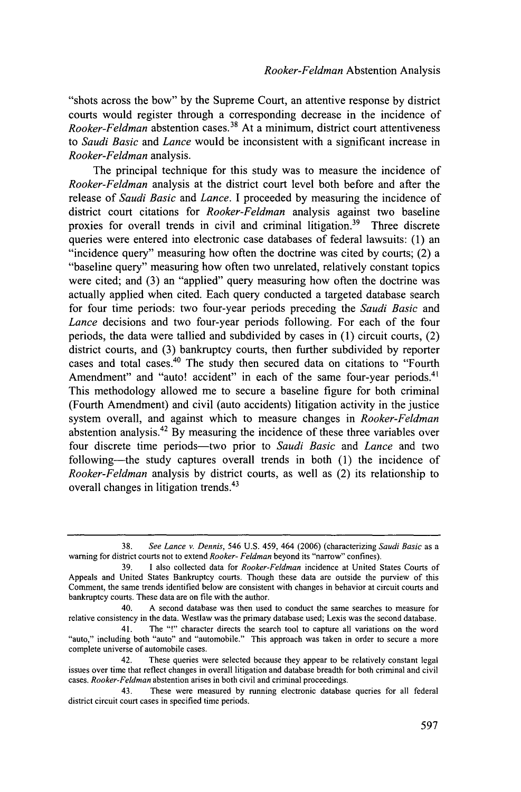"shots across the bow" **by** the Supreme Court, an attentive response **by** district courts would register through a corresponding decrease in the incidence of *Rooker-Feldman* abstention cases.<sup>38</sup>At a minimum, district court attentiveness *to Saudi Basic and Lance* would be inconsistent with a significant increase in *Rooker-Feldman* analysis.

The principal technique for this study was to measure the incidence of *Rooker-Feldman* analysis at the district court level both before and after the release of *Saudi Basic and Lance.* **I** proceeded **by** measuring the incidence of district court citations for *Rooker-Feldman* analysis against two baseline proxies for overall trends in civil and criminal litigation.<sup>39</sup> Three discrete queries were entered into electronic case databases of federal lawsuits: **(1)** an "incidence query" measuring how often the doctrine was cited **by** courts; (2) a "baseline query" measuring how often two unrelated, relatively constant topics were cited; and **(3)** an "applied" query measuring how often the doctrine was actually applied when cited. Each query conducted a targeted database search for four time periods: two four-year periods preceding the *Saudi Basic and Lance* decisions and two four-year periods following. For each of the four periods, the data were tallied and subdivided **by** cases in **(1)** circuit courts, (2) district courts, and **(3)** bankruptcy courts, then further subdivided **by** reporter cases and total cases.40 The study then secured data on citations to "Fourth Amendment" and "auto! accident" in each of the same four-year periods.<sup>41</sup> This methodology allowed me to secure a baseline figure for both criminal (Fourth Amendment) and civil (auto accidents) litigation activity in the justice system overall, and against which to measure changes in *Rooker-Feldman* abstention analysis. <sup>42</sup>**By** measuring the incidence of these three variables over four discrete time periods-two prior to *Saudi Basic and Lance* and two following-the study captures overall trends in both **(1)** the incidence of *Rooker-Feldman* analysis **by** district courts, as well as (2) its relationship to overall changes in litigation trends.<sup>43</sup>

**<sup>38.</sup>** See Lance v. Dennis, 546 **U.S.** 459, 464 **(2006)** (characterizing Saudi Basic as a warning for district courts not to extend Rooker- Feldman beyond its "narrow" confines).

**<sup>39.</sup>** 1 also collected data for Rooker-Feldman incidence at United States Courts of Appeals and United States Bankruptcy courts. Though these data are outside the purview of this Comment, the same trends identified below are consistent with changes in behavior at circuit courts and bankruptcy courts. These data are on file with the author.

<sup>40.</sup> **A** second database was then used to conduct the same searches to measure for relative consistency in the data. Westlaw was the primary database used; Lexis was the second database.

<sup>41.</sup> The "!" character directs the search tool to capture all variations on the word "auto," including both "auto" and "automobile." This approach was taken in order to secure a more complete universe of automobile cases.

<sup>42.</sup> These queries were selected because they appear to be relatively constant legal issues over time that reflect changes in overall litigation and database breadth for both criminal and civil *cases.* Rooker-Feldman abstention arises in both civil and criminal proceedings.

<sup>43.</sup> These were measured **by** running electronic database queries for all federal district circuit court cases in specified time periods.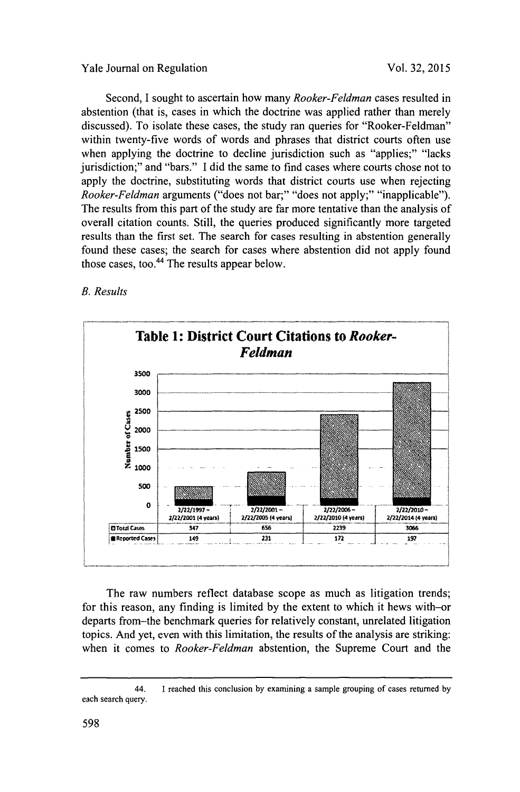## Yale Journal on Regulation **Vol. 32, 2015**

Second, **I** sought to ascertain how many *Rooker-Feldman* cases resulted in abstention (that is, cases in which the doctrine was applied rather than merely discussed). To isolate these cases, the study ran queries for "Rooker-Feldman" within twenty-five words of words and phrases that district courts often use when applying the doctrine to decline jurisdiction such as "applies;" "lacks" jurisdiction;" and "bars." **I** did the same to find cases where courts chose not to apply the doctrine, substituting words that district courts use when rejecting *Rooker-Feldman* arguments ("does not bar;" "does not apply;" "inapplicable"). The results from this part of the study are far more tentative than the analysis of overall citation counts. Still, the queries produced significantly more targeted results than the first set. The search for cases resulting in abstention generally found these cases; the search for cases where abstention did not apply found those cases, too.<sup>44</sup> The results appear below.

## *B. Results*



The raw numbers reflect database scope as much as litigation trends; for this reason, any finding is limited **by** the extent to which it hews with-or departs from-the benchmark queries for relatively constant, unrelated litigation topics. And yet, even with this limitation, the results of the analysis are striking: when it comes to *Rooker-Feldman* abstention, the Supreme Court and the

<sup>44.</sup> I reached this conclusion **by** examining a sample grouping of cases returned **by** each search query.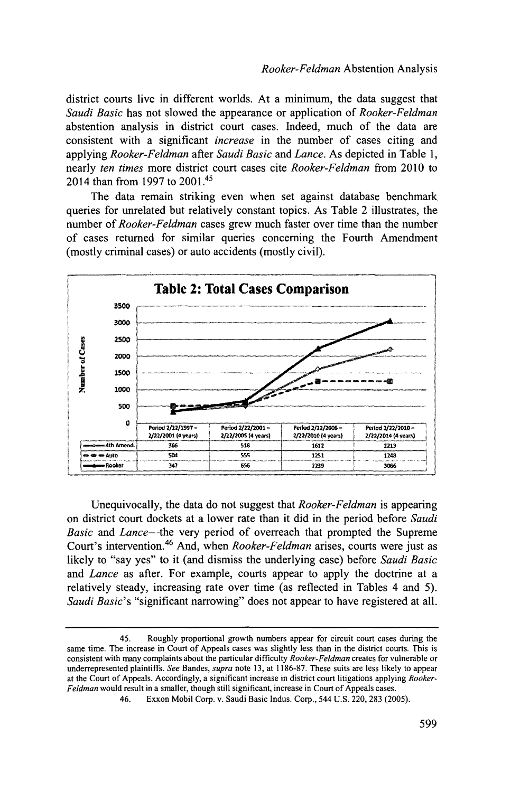district courts live in different worlds. At a minimum, the data suggest that *Saudi Basic* has not slowed the appearance or application of *Rooker-Feldman* abstention analysis in district court cases. Indeed, much of the data are consistent with a significant *increase* in the number of cases citing and *applying Rooker-Feldman after Saudi Basic and Lance.* As depicted in Table **1,** nearly *ten times* more district court cases cite *Rooker-Feldman* from 2010 to 2014 than from **1997** to 2001.45

The data remain striking even when set against database benchmark queries for unrelated but relatively constant topics. As Table 2 illustrates, the number of *Rooker-Feldman* cases grew much faster over time than the number of cases returned for similar queries concerning the Fourth Amendment (mostly criminal cases) or auto accidents (mostly civil).



Unequivocally, the data do not suggest that *Rooker-Feldman* is appearing on district court dockets at a lower rate than it did in the period before *Saudi Basic and Lance-the* very period of overreach that prompted the Supreme Court's intervention.<sup>46</sup> And, when *Rooker-Feldman* arises, courts were just as likely to "say yes" to it (and dismiss the underlying case) before *Saudi Basic* and *Lance* as after. For example, courts appear to apply the doctrine at a relatively steady, increasing rate over time (as reflected in Tables 4 and **5).** *Saudi Basic's* "significant narrowing" does not appear to have registered at all.

<sup>45.</sup> Roughly proportional growth numbers appear for circuit court cases during the same time. The increase in Court of Appeals cases was slightly less than in the district courts. This is consistent with many complaints about the particular difficulty *Rooker-Feldman* creates for vulnerable or underrepresented plaintiffs. *See Bandes, supra* note **13,** at **1186-87.** These suits are less likely to appear at the Court of Appeals. Accordingly, a significant increase in district court litigations applying *Rooker-Feldman* would result in a smaller, though still significant, increase in Court of Appeals cases.

<sup>46.</sup> Exxon Mobil Corp. v. Saudi Basic Indus. Corp., 544 **U.S.** 220, **283 (2005).**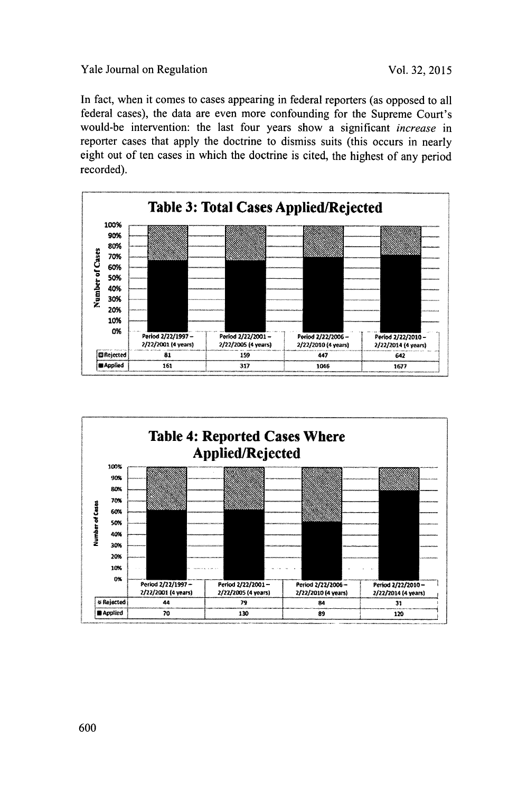## Yale Journal on Regulation Vol. 32, 2015

In fact, when it comes to cases appearing in federal reporters (as opposed to all federal cases), the data are even more confounding for the Supreme Court's would-be intervention: the last four years show a significant *increase in* reporter cases that apply the doctrine to dismiss suits (this occurs in nearly eight out of ten cases in which the doctrine is cited, the highest of any period recorded).



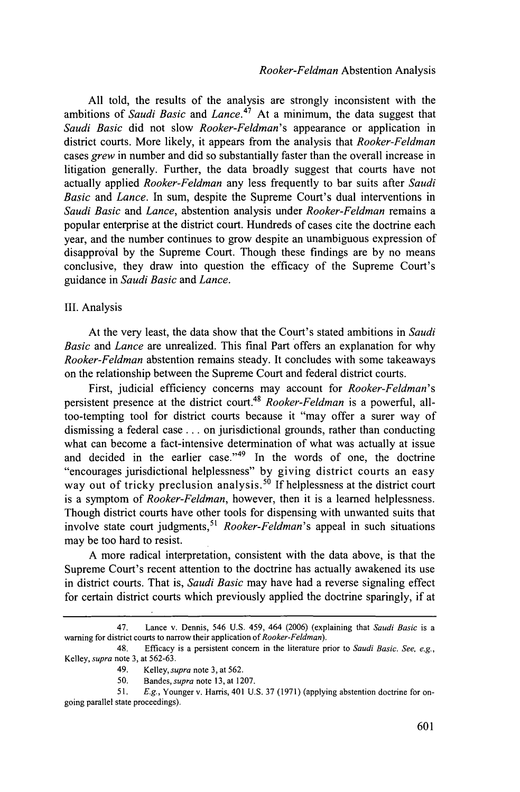**All** told, the results of the analysis are strongly inconsistent with the ambitions of *Saudi Basic and Lance.<sup>47</sup>*At a minimum, the data suggest that *Saudi Basic* did not slow *Rooker-Feldman's* appearance or application in district courts. More likely, it appears from the analysis that *Rooker-Feldman* cases *grew* in number and did so substantially faster than the overall increase in litigation generally. Further, the data broadly suggest that courts have not actually applied *Rooker-Feldman* any less frequently to bar suits after *Saudi Basic and Lance.* In sum, despite the Supreme Court's dual interventions in *Saudi Basic and Lance,* abstention analysis under *Rooker-Feldman* remains a popular enterprise at the district court. Hundreds of cases cite the doctrine each year, and the number continues to grow despite an unambiguous expression of disapproval **by** the Supreme Court. Though these findings are **by** no means conclusive, they draw into question the efficacy of the Supreme Court's guidance in *Saudi Basic and Lance.*

#### III. Analysis

At the very least, the data show that the Court's stated ambitions in *Saudi Basic and Lance* are unrealized. This final Part offers an explanation for why *Rooker-Feldman* abstention remains steady. It concludes with some takeaways on the relationship between the Supreme Court and federal district courts.

First, judicial efficiency concerns may account for *Rooker-Feldman's* persistent presence at the district court.<sup>48</sup>*Rooker-Feldman* is a powerful, alltoo-tempting tool for district courts because it "may offer a surer way of dismissing a federal case **.** . **.** on jurisdictional grounds, rather than conducting what can become a fact-intensive determination of what was actually at issue and decided in the earlier case." $49$  In the words of one, the doctrine "encourages jurisdictional helplessness" **by** giving district courts an easy way out of tricky preclusion analysis.<sup>50</sup> If helplessness at the district court is a symptom of *Rooker-Feldman,* however, then it is a learned helplessness. Though district courts have other tools for dispensing with unwanted suits that involve state court judgments,<sup>51</sup> *Rooker-Feldman's* appeal in such situations may be too hard to resist.

**A** more radical interpretation, consistent with the data above, is that the Supreme Court's recent attention to the doctrine has actually awakened its use in district courts. That is, *Saudi Basic* may have had a reverse signaling effect for certain district courts which previously applied the doctrine sparingly, if at

<sup>47.</sup> Lance v. Dennis, 546 **U.S.** *459, 464* **(2006)** (explaining that *Saudi Basic* is a warning for district courts to narrow their application *of Rooker-Feldman).*

<sup>48.</sup> Efficacy is a persistent concern in the literature prior to *Saudi Basic. See, e.g.,* Kelley, *supra* note **3,** at **562-63.**

<sup>49.</sup> Kelley, *supra* note **3,** at **562.**

*<sup>50.</sup>* Bandes, *supra* note **13,** at **1207.**

*<sup>51.</sup> E.g.,* Younger v. Harris, 401 **U.S. 37 (1971)** (applying abstention doctrine for ongoing parallel state proceedings).